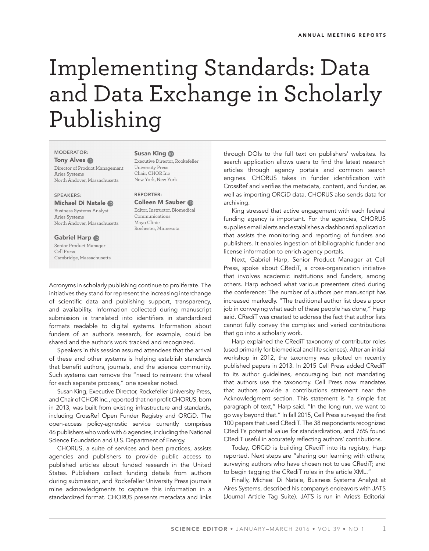# Implementing Standards: Data and Data Exchange in Scholarly Publishing

## MODERATOR:

**Tony Alves ®** 

Director of Product Management Aries Systems North Andover, Massachusetts

## SPEAKERS:

# Michael Di Natale

Business Systems Analyst Aries Systems North Andover, Massachusetts

#### Gabriel Harp **D**

Senior Product Manager Cell Press Cambridge, Massachusetts

Susan King **ID** Executive Director, Rockefeller University Press Chair, CHOR Inc New York, New York

### REPORTER: Colleen M Sauber Editor, Instructor, Biomedical Communications Mayo Clinic Rochester, Minnesota

Acronyms in scholarly publishing continue to proliferate. The initiatives they stand for represent the increasing interchange of scientific data and publishing support, transparency, and availability. Information collected during manuscript submission is translated into identifiers in standardized formats readable to digital systems. Information about funders of an author's research, for example, could be shared and the author's work tracked and recognized.

Speakers in this session assured attendees that the arrival of these and other systems is helping establish standards that benefit authors, journals, and the science community. Such systems can remove the "need to reinvent the wheel for each separate process," one speaker noted.

Susan King, Executive Director, Rockefeller University Press, and Chair of CHOR Inc., reported that nonprofit CHORUS, born in 2013, was built from existing infrastructure and standards, including CrossRef Open Funder Registry and ORCiD. The open-access policy-agnostic service currently comprises 46 publishers who work with 6 agencies, including the National Science Foundation and U.S. Department of Energy.

CHORUS, a suite of services and best practices, assists agencies and publishers to provide public access to published articles about funded research in the United States. Publishers collect funding details from authors during submission, and Rockefeller University Press journals mine acknowledgments to capture this information in a standardized format. CHORUS presents metadata and links through DOIs to the full text on publishers' websites. Its search application allows users to find the latest research articles through agency portals and common search engines. CHORUS takes in funder identification with CrossRef and verifies the metadata, content, and funder, as well as importing ORCiD data. CHORUS also sends data for archiving.

King stressed that active engagement with each federal funding agency is important. For the agencies, CHORUS supplies email alerts and establishes a dashboard application that assists the monitoring and reporting of funders and publishers. It enables ingestion of bibliographic funder and license information to enrich agency portals.

Next, Gabriel Harp, Senior Product Manager at Cell Press, spoke about CRediT, a cross-organization initiative that involves academic institutions and funders, among others. Harp echoed what various presenters cited during the conference: The number of authors per manuscript has increased markedly. "The traditional author list does a poor job in conveying what each of these people has done," Harp said. CRediT was created to address the fact that author lists cannot fully convey the complex and varied contributions that go into a scholarly work.

Harp explained the CRediT taxonomy of contributor roles (used primarily for biomedical and life sciences). After an initial workshop in 2012, the taxonomy was piloted on recently published papers in 2013. In 2015 Cell Press added CRediT to its author guidelines, encouraging but not mandating that authors use the taxonomy. Cell Press now mandates that authors provide a contributions statement near the Acknowledgment section. This statement is "a simple flat paragraph of text," Harp said. "In the long run, we want to go way beyond that." In fall 2015, Cell Press surveyed the first 100 papers that used CRediT. The 38 respondents recognized CRediT's potential value for standardization, and 76% found CRediT useful in accurately reflecting authors' contributions.

Today, ORCiD is building CRediT into its registry, Harp reported. Next steps are "sharing our learning with others; surveying authors who have chosen not to use CRediT; and to begin tagging the CRediT roles in the article XML."

Finally, Michael Di Natale, Business Systems Analyst at Aires Systems, described his company's endeavors with JATS (Journal Article Tag Suite). JATS is run in Aries's Editorial